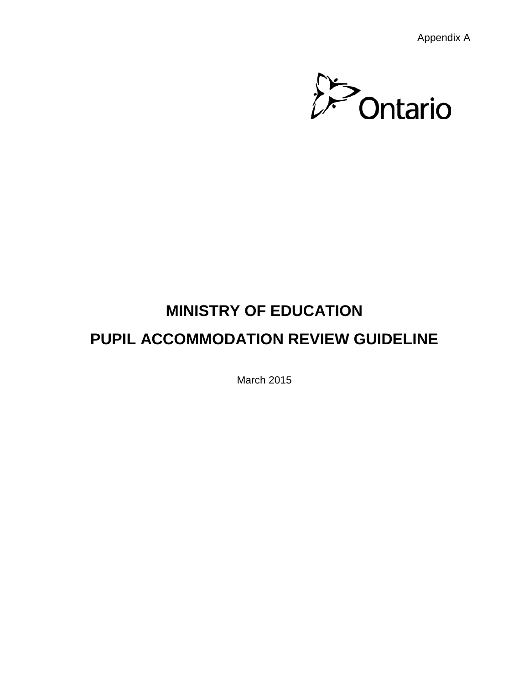Appendix A



# **MINISTRY OF EDUCATION PUPIL ACCOMMODATION REVIEW GUIDELINE**

March 2015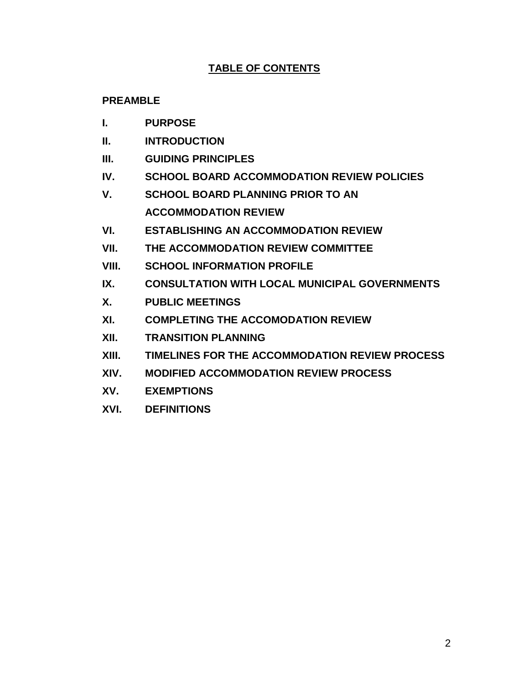#### **TABLE OF CONTENTS**

#### **PREAMBLE**

- **I. PURPOSE**
- **II. INTRODUCTION**
- **III. GUIDING PRINCIPLES**
- **IV. SCHOOL BOARD ACCOMMODATION REVIEW POLICIES**
- **V. SCHOOL BOARD PLANNING PRIOR TO AN ACCOMMODATION REVIEW**
- **VI. ESTABLISHING AN ACCOMMODATION REVIEW**
- **VII. THE ACCOMMODATION REVIEW COMMITTEE**
- **VIII. SCHOOL INFORMATION PROFILE**
- **IX. CONSULTATION WITH LOCAL MUNICIPAL GOVERNMENTS**
- **X. PUBLIC MEETINGS**
- **XI. COMPLETING THE ACCOMODATION REVIEW**
- **XII. TRANSITION PLANNING**
- **XIII. TIMELINES FOR THE ACCOMMODATION REVIEW PROCESS**
- **XIV. MODIFIED ACCOMMODATION REVIEW PROCESS**
- **XV. EXEMPTIONS**
- **XVI. DEFINITIONS**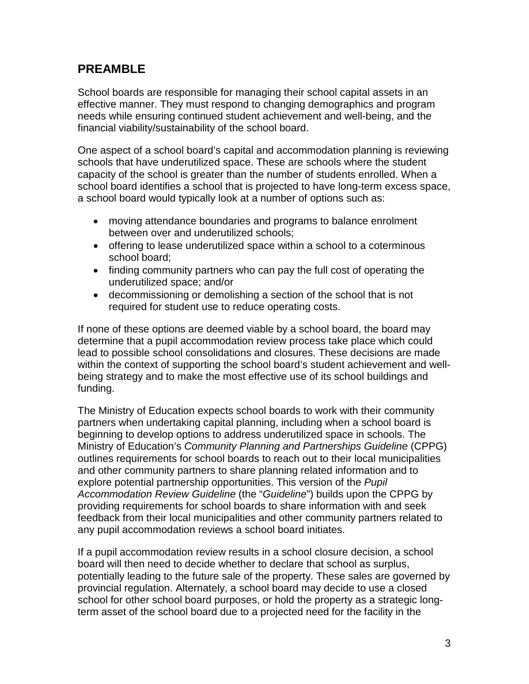### **PREAMBLE**

School boards are responsible for managing their school capital assets in an effective manner. They must respond to changing demographics and program needs while ensuring continued student achievement and well-being, and the financial viability/sustainability of the school board.

One aspect of a school board's capital and accommodation planning is reviewing schools that have underutilized space. These are schools where the student capacity of the school is greater than the number of students enrolled. When a school board identifies a school that is projected to have long-term excess space, a school board would typically look at a number of options such as:

- moving attendance boundaries and programs to balance enrolment between over and underutilized schools;
- offering to lease underutilized space within a school to a coterminous school board;
- finding community partners who can pay the full cost of operating the underutilized space; and/or
- decommissioning or demolishing a section of the school that is not required for student use to reduce operating costs.

If none of these options are deemed viable by a school board, the board may determine that a pupil accommodation review process take place which could lead to possible school consolidations and closures. These decisions are made within the context of supporting the school board's student achievement and wellbeing strategy and to make the most effective use of its school buildings and funding.

The Ministry of Education expects school boards to work with their community partners when undertaking capital planning, including when a school board is beginning to develop options to address underutilized space in schools. The Ministry of Education's *Community Planning and Partnerships Guideline* (CPPG) outlines requirements for school boards to reach out to their local municipalities and other community partners to share planning related information and to explore potential partnership opportunities. This version of the *Pupil Accommodation Review Guideline* (the "*Guideline*") builds upon the CPPG by providing requirements for school boards to share information with and seek feedback from their local municipalities and other community partners related to any pupil accommodation reviews a school board initiates.

If a pupil accommodation review results in a school closure decision, a school board will then need to decide whether to declare that school as surplus, potentially leading to the future sale of the property. These sales are governed by provincial regulation. Alternately, a school board may decide to use a closed school for other school board purposes, or hold the property as a strategic longterm asset of the school board due to a projected need for the facility in the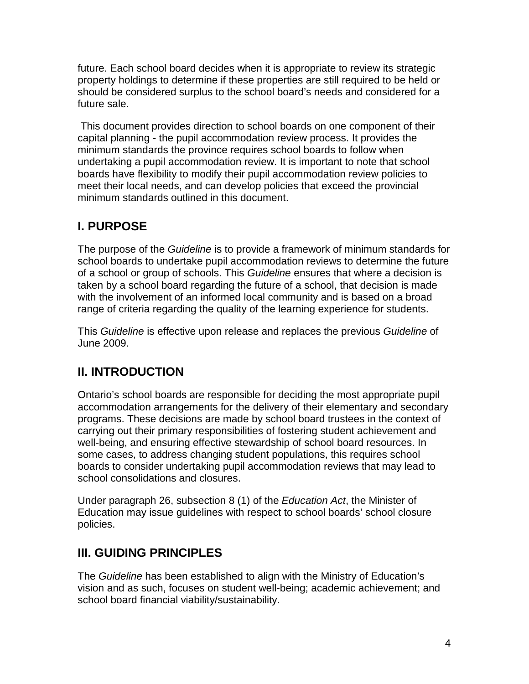future. Each school board decides when it is appropriate to review its strategic property holdings to determine if these properties are still required to be held or should be considered surplus to the school board's needs and considered for a future sale.

This document provides direction to school boards on one component of their capital planning - the pupil accommodation review process. It provides the minimum standards the province requires school boards to follow when undertaking a pupil accommodation review. It is important to note that school boards have flexibility to modify their pupil accommodation review policies to meet their local needs, and can develop policies that exceed the provincial minimum standards outlined in this document.

### **I. PURPOSE**

The purpose of the *Guideline* is to provide a framework of minimum standards for school boards to undertake pupil accommodation reviews to determine the future of a school or group of schools. This *Guideline* ensures that where a decision is taken by a school board regarding the future of a school, that decision is made with the involvement of an informed local community and is based on a broad range of criteria regarding the quality of the learning experience for students.

This *Guideline* is effective upon release and replaces the previous *Guideline* of June 2009.

### **II. INTRODUCTION**

Ontario's school boards are responsible for deciding the most appropriate pupil accommodation arrangements for the delivery of their elementary and secondary programs. These decisions are made by school board trustees in the context of carrying out their primary responsibilities of fostering student achievement and well-being, and ensuring effective stewardship of school board resources. In some cases, to address changing student populations, this requires school boards to consider undertaking pupil accommodation reviews that may lead to school consolidations and closures.

Under paragraph 26, subsection 8 (1) of the *Education Act*, the Minister of Education may issue guidelines with respect to school boards' school closure policies.

### **III. GUIDING PRINCIPLES**

The *Guideline* has been established to align with the Ministry of Education's vision and as such, focuses on student well-being; academic achievement; and school board financial viability/sustainability.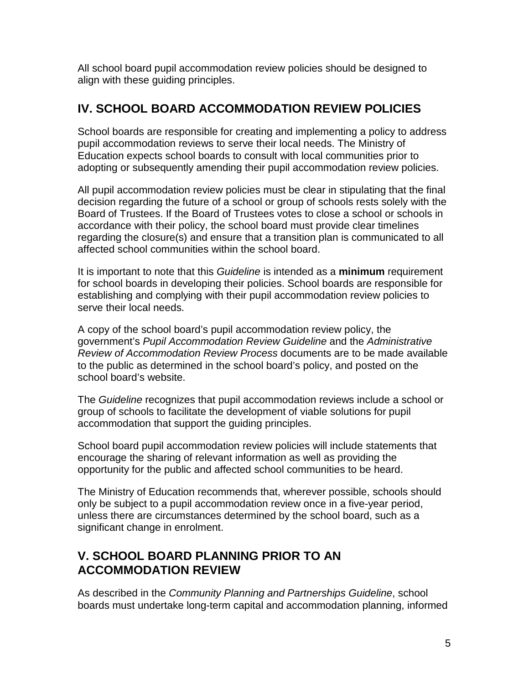All school board pupil accommodation review policies should be designed to align with these guiding principles.

### **IV. SCHOOL BOARD ACCOMMODATION REVIEW POLICIES**

School boards are responsible for creating and implementing a policy to address pupil accommodation reviews to serve their local needs. The Ministry of Education expects school boards to consult with local communities prior to adopting or subsequently amending their pupil accommodation review policies.

All pupil accommodation review policies must be clear in stipulating that the final decision regarding the future of a school or group of schools rests solely with the Board of Trustees. If the Board of Trustees votes to close a school or schools in accordance with their policy, the school board must provide clear timelines regarding the closure(s) and ensure that a transition plan is communicated to all affected school communities within the school board.

It is important to note that this *Guideline* is intended as a **minimum** requirement for school boards in developing their policies. School boards are responsible for establishing and complying with their pupil accommodation review policies to serve their local needs.

A copy of the school board's pupil accommodation review policy, the government's *Pupil Accommodation Review Guideline* and the *Administrative Review of Accommodation Review Process* documents are to be made available to the public as determined in the school board's policy, and posted on the school board's website.

The *Guideline* recognizes that pupil accommodation reviews include a school or group of schools to facilitate the development of viable solutions for pupil accommodation that support the guiding principles.

School board pupil accommodation review policies will include statements that encourage the sharing of relevant information as well as providing the opportunity for the public and affected school communities to be heard.

The Ministry of Education recommends that, wherever possible, schools should only be subject to a pupil accommodation review once in a five-year period, unless there are circumstances determined by the school board, such as a significant change in enrolment.

### **V. SCHOOL BOARD PLANNING PRIOR TO AN ACCOMMODATION REVIEW**

As described in the *Community Planning and Partnerships Guideline*, school boards must undertake long-term capital and accommodation planning, informed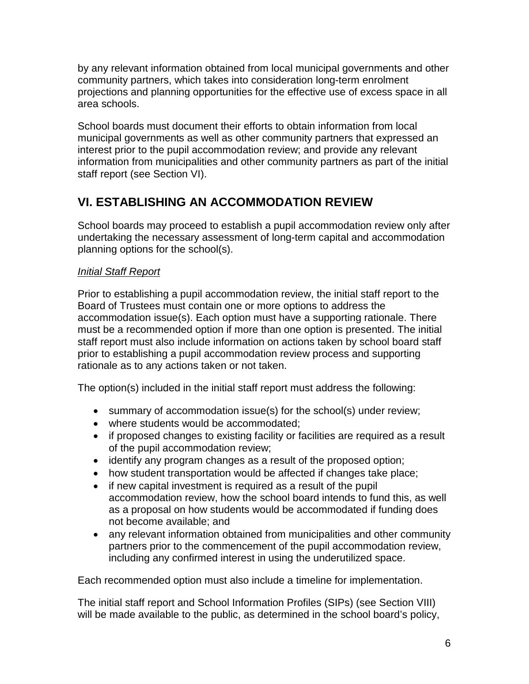by any relevant information obtained from local municipal governments and other community partners, which takes into consideration long-term enrolment projections and planning opportunities for the effective use of excess space in all area schools.

School boards must document their efforts to obtain information from local municipal governments as well as other community partners that expressed an interest prior to the pupil accommodation review; and provide any relevant information from municipalities and other community partners as part of the initial staff report (see Section VI).

### **VI. ESTABLISHING AN ACCOMMODATION REVIEW**

School boards may proceed to establish a pupil accommodation review only after undertaking the necessary assessment of long-term capital and accommodation planning options for the school(s).

#### *Initial Staff Report*

Prior to establishing a pupil accommodation review, the initial staff report to the Board of Trustees must contain one or more options to address the accommodation issue(s). Each option must have a supporting rationale. There must be a recommended option if more than one option is presented. The initial staff report must also include information on actions taken by school board staff prior to establishing a pupil accommodation review process and supporting rationale as to any actions taken or not taken.

The option(s) included in the initial staff report must address the following:

- summary of accommodation issue(s) for the school(s) under review;
- where students would be accommodated;
- if proposed changes to existing facility or facilities are required as a result of the pupil accommodation review;
- identify any program changes as a result of the proposed option;
- how student transportation would be affected if changes take place;
- if new capital investment is required as a result of the pupil accommodation review, how the school board intends to fund this, as well as a proposal on how students would be accommodated if funding does not become available; and
- any relevant information obtained from municipalities and other community partners prior to the commencement of the pupil accommodation review, including any confirmed interest in using the underutilized space.

Each recommended option must also include a timeline for implementation.

The initial staff report and School Information Profiles (SIPs) (see Section VIII) will be made available to the public, as determined in the school board's policy,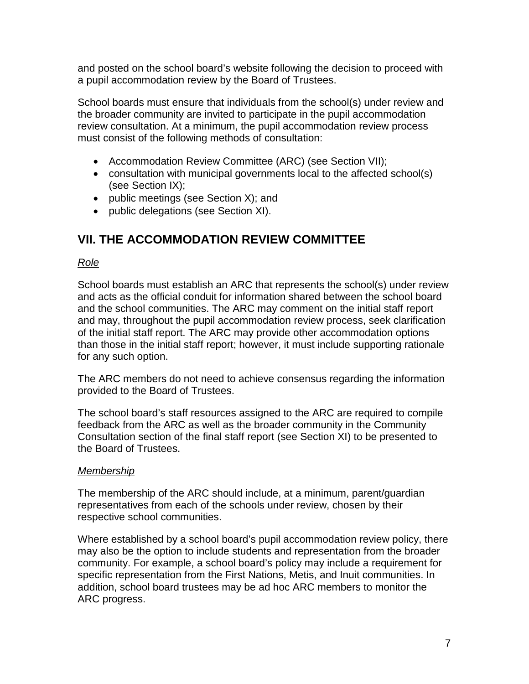and posted on the school board's website following the decision to proceed with a pupil accommodation review by the Board of Trustees.

School boards must ensure that individuals from the school(s) under review and the broader community are invited to participate in the pupil accommodation review consultation. At a minimum, the pupil accommodation review process must consist of the following methods of consultation:

- Accommodation Review Committee (ARC) (see Section VII);
- consultation with municipal governments local to the affected school(s) (see Section IX);
- public meetings (see Section X); and
- public delegations (see Section XI).

### **VII. THE ACCOMMODATION REVIEW COMMITTEE**

#### *Role*

School boards must establish an ARC that represents the school(s) under review and acts as the official conduit for information shared between the school board and the school communities. The ARC may comment on the initial staff report and may, throughout the pupil accommodation review process, seek clarification of the initial staff report. The ARC may provide other accommodation options than those in the initial staff report; however, it must include supporting rationale for any such option.

The ARC members do not need to achieve consensus regarding the information provided to the Board of Trustees.

The school board's staff resources assigned to the ARC are required to compile feedback from the ARC as well as the broader community in the Community Consultation section of the final staff report (see Section XI) to be presented to the Board of Trustees.

#### *Membership*

The membership of the ARC should include, at a minimum, parent/guardian representatives from each of the schools under review, chosen by their respective school communities.

Where established by a school board's pupil accommodation review policy, there may also be the option to include students and representation from the broader community. For example, a school board's policy may include a requirement for specific representation from the First Nations, Metis, and Inuit communities. In addition, school board trustees may be ad hoc ARC members to monitor the ARC progress.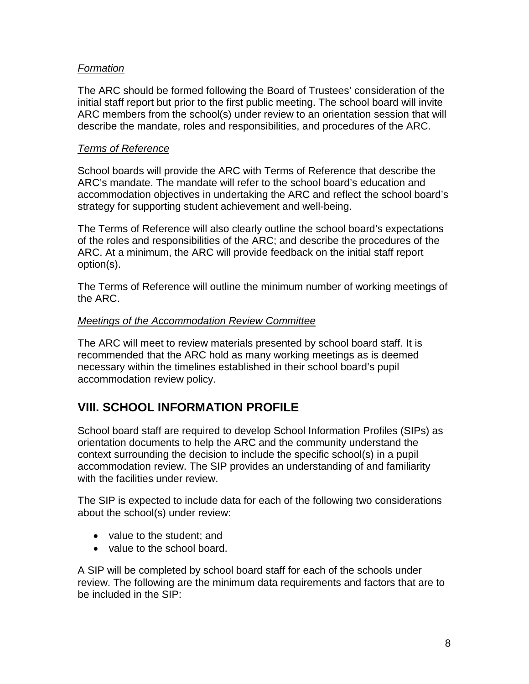#### *Formation*

The ARC should be formed following the Board of Trustees' consideration of the initial staff report but prior to the first public meeting. The school board will invite ARC members from the school(s) under review to an orientation session that will describe the mandate, roles and responsibilities, and procedures of the ARC.

#### *Terms of Reference*

School boards will provide the ARC with Terms of Reference that describe the ARC's mandate. The mandate will refer to the school board's education and accommodation objectives in undertaking the ARC and reflect the school board's strategy for supporting student achievement and well-being.

The Terms of Reference will also clearly outline the school board's expectations of the roles and responsibilities of the ARC; and describe the procedures of the ARC. At a minimum, the ARC will provide feedback on the initial staff report option(s).

The Terms of Reference will outline the minimum number of working meetings of the ARC.

#### *Meetings of the Accommodation Review Committee*

The ARC will meet to review materials presented by school board staff. It is recommended that the ARC hold as many working meetings as is deemed necessary within the timelines established in their school board's pupil accommodation review policy.

### **VIII. SCHOOL INFORMATION PROFILE**

School board staff are required to develop School Information Profiles (SIPs) as orientation documents to help the ARC and the community understand the context surrounding the decision to include the specific school(s) in a pupil accommodation review. The SIP provides an understanding of and familiarity with the facilities under review.

The SIP is expected to include data for each of the following two considerations about the school(s) under review:

- value to the student: and
- value to the school board.

A SIP will be completed by school board staff for each of the schools under review. The following are the minimum data requirements and factors that are to be included in the SIP: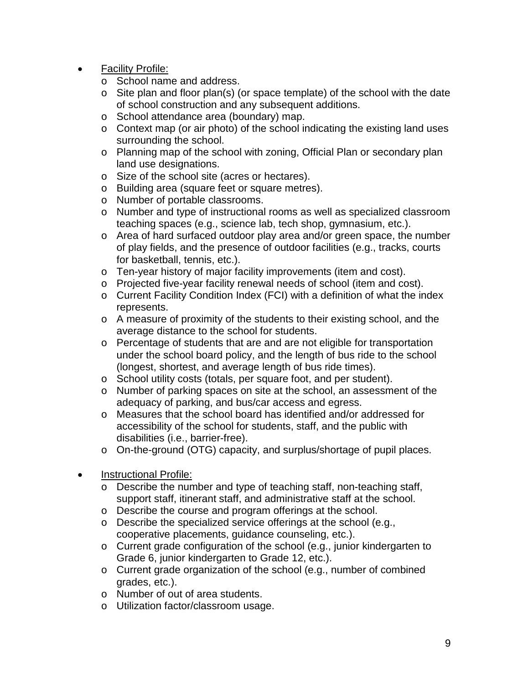- Facility Profile:
	- o School name and address.
	- o Site plan and floor plan(s) (or space template) of the school with the date of school construction and any subsequent additions.
	- o School attendance area (boundary) map.
	- o Context map (or air photo) of the school indicating the existing land uses surrounding the school.
	- o Planning map of the school with zoning, Official Plan or secondary plan land use designations.
	- o Size of the school site (acres or hectares).
	- o Building area (square feet or square metres).
	- o Number of portable classrooms.
	- o Number and type of instructional rooms as well as specialized classroom teaching spaces (e.g., science lab, tech shop, gymnasium, etc.).
	- o Area of hard surfaced outdoor play area and/or green space, the number of play fields, and the presence of outdoor facilities (e.g., tracks, courts for basketball, tennis, etc.).
	- o Ten-year history of major facility improvements (item and cost).
	- o Projected five-year facility renewal needs of school (item and cost).
	- o Current Facility Condition Index (FCI) with a definition of what the index represents.
	- o A measure of proximity of the students to their existing school, and the average distance to the school for students.
	- o Percentage of students that are and are not eligible for transportation under the school board policy, and the length of bus ride to the school (longest, shortest, and average length of bus ride times).
	- o School utility costs (totals, per square foot, and per student).
	- o Number of parking spaces on site at the school, an assessment of the adequacy of parking, and bus/car access and egress.
	- o Measures that the school board has identified and/or addressed for accessibility of the school for students, staff, and the public with disabilities (i.e., barrier-free).
	- o On-the-ground (OTG) capacity, and surplus/shortage of pupil places.
- Instructional Profile:
	- o Describe the number and type of teaching staff, non-teaching staff, support staff, itinerant staff, and administrative staff at the school.
	- o Describe the course and program offerings at the school.
	- o Describe the specialized service offerings at the school (e.g., cooperative placements, guidance counseling, etc.).
	- o Current grade configuration of the school (e.g., junior kindergarten to Grade 6, junior kindergarten to Grade 12, etc.).
	- o Current grade organization of the school (e.g., number of combined grades, etc.).
	- o Number of out of area students.
	- o Utilization factor/classroom usage.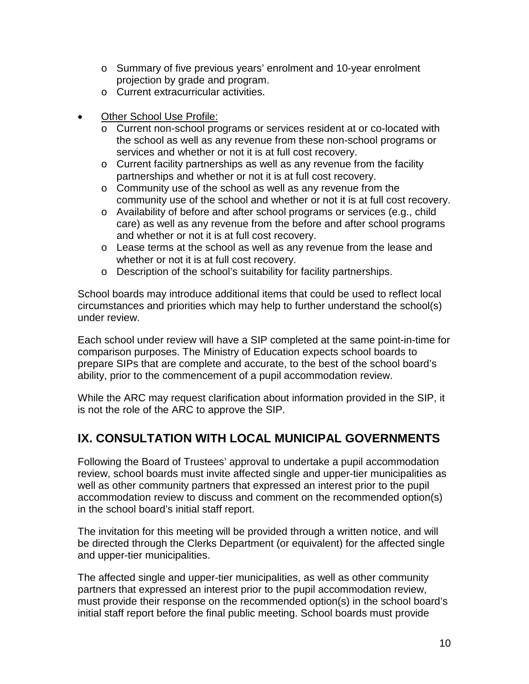- o Summary of five previous years' enrolment and 10-year enrolment projection by grade and program.
- o Current extracurricular activities.
- Other School Use Profile:
	- o Current non-school programs or services resident at or co-located with the school as well as any revenue from these non-school programs or services and whether or not it is at full cost recovery.
	- o Current facility partnerships as well as any revenue from the facility partnerships and whether or not it is at full cost recovery.
	- o Community use of the school as well as any revenue from the community use of the school and whether or not it is at full cost recovery.
	- o Availability of before and after school programs or services (e.g., child care) as well as any revenue from the before and after school programs and whether or not it is at full cost recovery.
	- o Lease terms at the school as well as any revenue from the lease and whether or not it is at full cost recovery.
	- o Description of the school's suitability for facility partnerships.

School boards may introduce additional items that could be used to reflect local circumstances and priorities which may help to further understand the school(s) under review.

Each school under review will have a SIP completed at the same point-in-time for comparison purposes. The Ministry of Education expects school boards to prepare SIPs that are complete and accurate, to the best of the school board's ability, prior to the commencement of a pupil accommodation review.

While the ARC may request clarification about information provided in the SIP, it is not the role of the ARC to approve the SIP.

### **IX. CONSULTATION WITH LOCAL MUNICIPAL GOVERNMENTS**

Following the Board of Trustees' approval to undertake a pupil accommodation review, school boards must invite affected single and upper-tier municipalities as well as other community partners that expressed an interest prior to the pupil accommodation review to discuss and comment on the recommended option(s) in the school board's initial staff report.

The invitation for this meeting will be provided through a written notice, and will be directed through the Clerks Department (or equivalent) for the affected single and upper-tier municipalities.

The affected single and upper-tier municipalities, as well as other community partners that expressed an interest prior to the pupil accommodation review, must provide their response on the recommended option(s) in the school board's initial staff report before the final public meeting. School boards must provide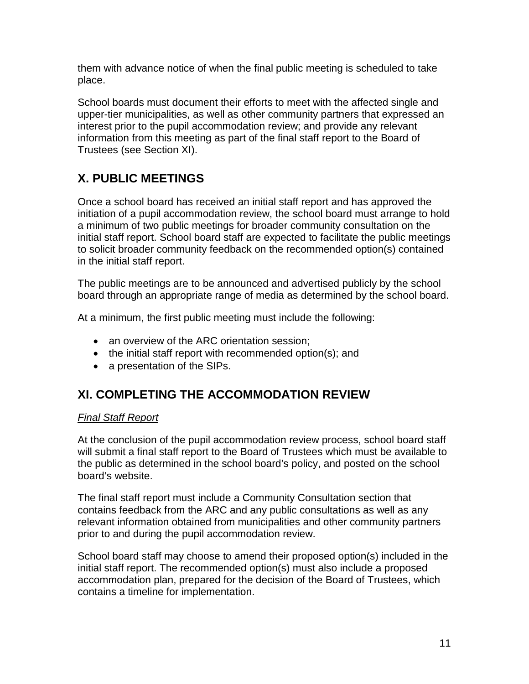them with advance notice of when the final public meeting is scheduled to take place.

School boards must document their efforts to meet with the affected single and upper-tier municipalities, as well as other community partners that expressed an interest prior to the pupil accommodation review; and provide any relevant information from this meeting as part of the final staff report to the Board of Trustees (see Section XI).

# **X. PUBLIC MEETINGS**

Once a school board has received an initial staff report and has approved the initiation of a pupil accommodation review, the school board must arrange to hold a minimum of two public meetings for broader community consultation on the initial staff report. School board staff are expected to facilitate the public meetings to solicit broader community feedback on the recommended option(s) contained in the initial staff report.

The public meetings are to be announced and advertised publicly by the school board through an appropriate range of media as determined by the school board.

At a minimum, the first public meeting must include the following:

- an overview of the ARC orientation session;
- the initial staff report with recommended option(s); and
- a presentation of the SIPs.

## **XI. COMPLETING THE ACCOMMODATION REVIEW**

#### *Final Staff Report*

At the conclusion of the pupil accommodation review process, school board staff will submit a final staff report to the Board of Trustees which must be available to the public as determined in the school board's policy, and posted on the school board's website.

The final staff report must include a Community Consultation section that contains feedback from the ARC and any public consultations as well as any relevant information obtained from municipalities and other community partners prior to and during the pupil accommodation review.

School board staff may choose to amend their proposed option(s) included in the initial staff report. The recommended option(s) must also include a proposed accommodation plan, prepared for the decision of the Board of Trustees, which contains a timeline for implementation.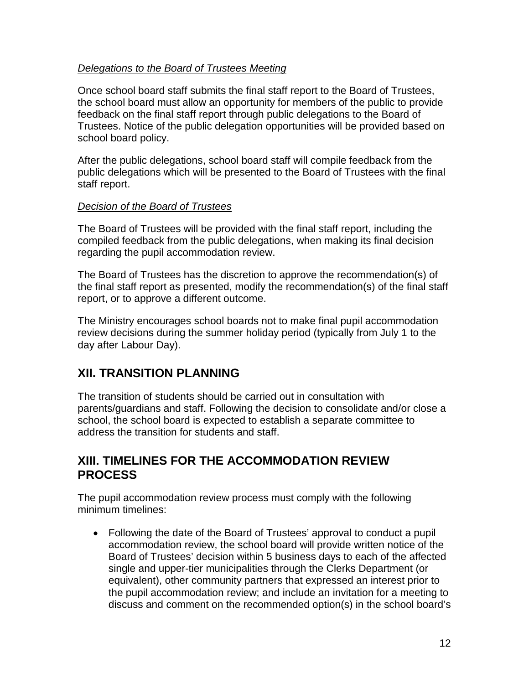#### *Delegations to the Board of Trustees Meeting*

Once school board staff submits the final staff report to the Board of Trustees, the school board must allow an opportunity for members of the public to provide feedback on the final staff report through public delegations to the Board of Trustees. Notice of the public delegation opportunities will be provided based on school board policy.

After the public delegations, school board staff will compile feedback from the public delegations which will be presented to the Board of Trustees with the final staff report.

#### *Decision of the Board of Trustees*

The Board of Trustees will be provided with the final staff report, including the compiled feedback from the public delegations, when making its final decision regarding the pupil accommodation review.

The Board of Trustees has the discretion to approve the recommendation(s) of the final staff report as presented, modify the recommendation(s) of the final staff report, or to approve a different outcome.

The Ministry encourages school boards not to make final pupil accommodation review decisions during the summer holiday period (typically from July 1 to the day after Labour Day).

### **XII. TRANSITION PLANNING**

The transition of students should be carried out in consultation with parents/guardians and staff. Following the decision to consolidate and/or close a school, the school board is expected to establish a separate committee to address the transition for students and staff.

#### **XIII. TIMELINES FOR THE ACCOMMODATION REVIEW PROCESS**

The pupil accommodation review process must comply with the following minimum timelines:

• Following the date of the Board of Trustees' approval to conduct a pupil accommodation review, the school board will provide written notice of the Board of Trustees' decision within 5 business days to each of the affected single and upper-tier municipalities through the Clerks Department (or equivalent), other community partners that expressed an interest prior to the pupil accommodation review; and include an invitation for a meeting to discuss and comment on the recommended option(s) in the school board's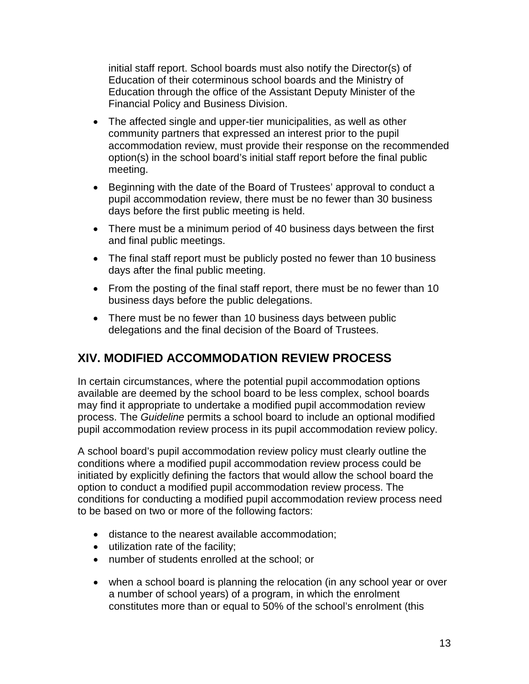initial staff report. School boards must also notify the Director(s) of Education of their coterminous school boards and the Ministry of Education through the office of the Assistant Deputy Minister of the Financial Policy and Business Division.

- The affected single and upper-tier municipalities, as well as other community partners that expressed an interest prior to the pupil accommodation review, must provide their response on the recommended option(s) in the school board's initial staff report before the final public meeting.
- Beginning with the date of the Board of Trustees' approval to conduct a pupil accommodation review, there must be no fewer than 30 business days before the first public meeting is held.
- There must be a minimum period of 40 business days between the first and final public meetings.
- The final staff report must be publicly posted no fewer than 10 business days after the final public meeting.
- From the posting of the final staff report, there must be no fewer than 10 business days before the public delegations.
- There must be no fewer than 10 business days between public delegations and the final decision of the Board of Trustees.

### **XIV. MODIFIED ACCOMMODATION REVIEW PROCESS**

In certain circumstances, where the potential pupil accommodation options available are deemed by the school board to be less complex, school boards may find it appropriate to undertake a modified pupil accommodation review process. The *Guideline* permits a school board to include an optional modified pupil accommodation review process in its pupil accommodation review policy.

A school board's pupil accommodation review policy must clearly outline the conditions where a modified pupil accommodation review process could be initiated by explicitly defining the factors that would allow the school board the option to conduct a modified pupil accommodation review process. The conditions for conducting a modified pupil accommodation review process need to be based on two or more of the following factors:

- distance to the nearest available accommodation;
- utilization rate of the facility;
- number of students enrolled at the school; or
- when a school board is planning the relocation (in any school year or over a number of school years) of a program, in which the enrolment constitutes more than or equal to 50% of the school's enrolment (this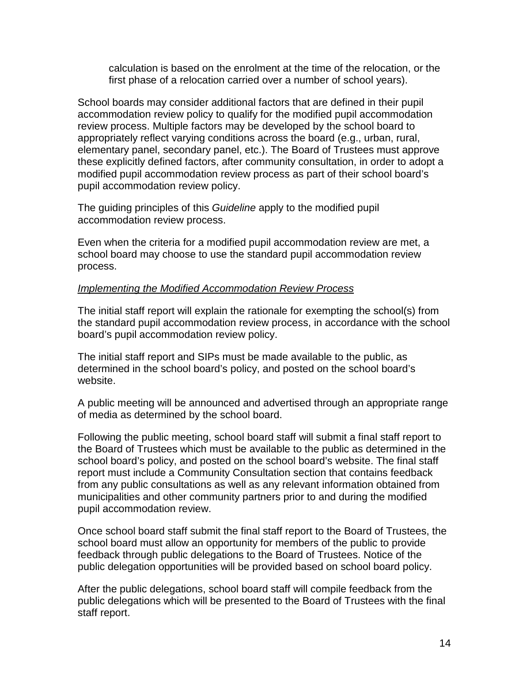calculation is based on the enrolment at the time of the relocation, or the first phase of a relocation carried over a number of school years).

School boards may consider additional factors that are defined in their pupil accommodation review policy to qualify for the modified pupil accommodation review process. Multiple factors may be developed by the school board to appropriately reflect varying conditions across the board (e.g., urban, rural, elementary panel, secondary panel, etc.). The Board of Trustees must approve these explicitly defined factors, after community consultation, in order to adopt a modified pupil accommodation review process as part of their school board's pupil accommodation review policy.

The guiding principles of this *Guideline* apply to the modified pupil accommodation review process.

Even when the criteria for a modified pupil accommodation review are met, a school board may choose to use the standard pupil accommodation review process.

#### *Implementing the Modified Accommodation Review Process*

The initial staff report will explain the rationale for exempting the school(s) from the standard pupil accommodation review process, in accordance with the school board's pupil accommodation review policy.

The initial staff report and SIPs must be made available to the public, as determined in the school board's policy, and posted on the school board's website.

A public meeting will be announced and advertised through an appropriate range of media as determined by the school board.

Following the public meeting, school board staff will submit a final staff report to the Board of Trustees which must be available to the public as determined in the school board's policy, and posted on the school board's website. The final staff report must include a Community Consultation section that contains feedback from any public consultations as well as any relevant information obtained from municipalities and other community partners prior to and during the modified pupil accommodation review.

Once school board staff submit the final staff report to the Board of Trustees, the school board must allow an opportunity for members of the public to provide feedback through public delegations to the Board of Trustees. Notice of the public delegation opportunities will be provided based on school board policy.

After the public delegations, school board staff will compile feedback from the public delegations which will be presented to the Board of Trustees with the final staff report.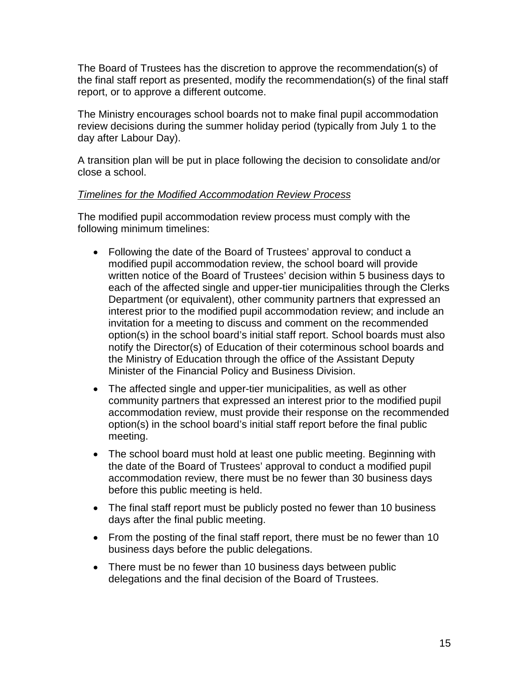The Board of Trustees has the discretion to approve the recommendation(s) of the final staff report as presented, modify the recommendation(s) of the final staff report, or to approve a different outcome.

The Ministry encourages school boards not to make final pupil accommodation review decisions during the summer holiday period (typically from July 1 to the day after Labour Day).

A transition plan will be put in place following the decision to consolidate and/or close a school.

#### *Timelines for the Modified Accommodation Review Process*

The modified pupil accommodation review process must comply with the following minimum timelines:

- Following the date of the Board of Trustees' approval to conduct a modified pupil accommodation review, the school board will provide written notice of the Board of Trustees' decision within 5 business days to each of the affected single and upper-tier municipalities through the Clerks Department (or equivalent), other community partners that expressed an interest prior to the modified pupil accommodation review; and include an invitation for a meeting to discuss and comment on the recommended option(s) in the school board's initial staff report. School boards must also notify the Director(s) of Education of their coterminous school boards and the Ministry of Education through the office of the Assistant Deputy Minister of the Financial Policy and Business Division.
- The affected single and upper-tier municipalities, as well as other community partners that expressed an interest prior to the modified pupil accommodation review, must provide their response on the recommended option(s) in the school board's initial staff report before the final public meeting.
- The school board must hold at least one public meeting. Beginning with the date of the Board of Trustees' approval to conduct a modified pupil accommodation review, there must be no fewer than 30 business days before this public meeting is held.
- The final staff report must be publicly posted no fewer than 10 business days after the final public meeting.
- From the posting of the final staff report, there must be no fewer than 10 business days before the public delegations.
- There must be no fewer than 10 business days between public delegations and the final decision of the Board of Trustees.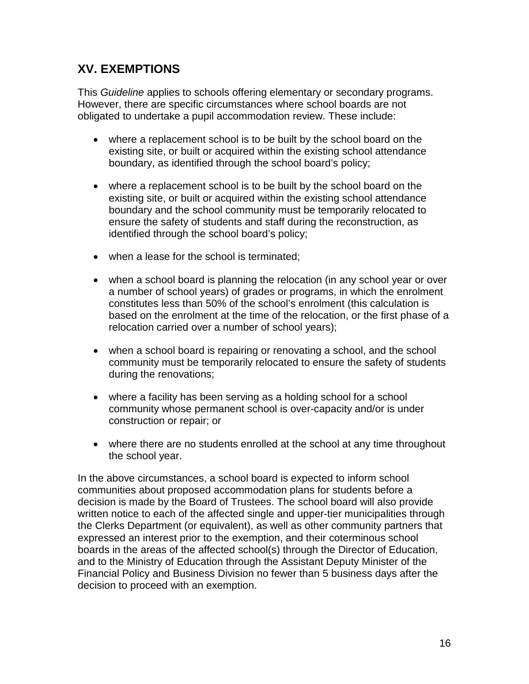### **XV. EXEMPTIONS**

This *Guideline* applies to schools offering elementary or secondary programs. However, there are specific circumstances where school boards are not obligated to undertake a pupil accommodation review. These include:

- where a replacement school is to be built by the school board on the existing site, or built or acquired within the existing school attendance boundary, as identified through the school board's policy;
- where a replacement school is to be built by the school board on the existing site, or built or acquired within the existing school attendance boundary and the school community must be temporarily relocated to ensure the safety of students and staff during the reconstruction, as identified through the school board's policy;
- when a lease for the school is terminated;
- when a school board is planning the relocation (in any school year or over a number of school years) of grades or programs, in which the enrolment constitutes less than 50% of the school's enrolment (this calculation is based on the enrolment at the time of the relocation, or the first phase of a relocation carried over a number of school years);
- when a school board is repairing or renovating a school, and the school community must be temporarily relocated to ensure the safety of students during the renovations;
- where a facility has been serving as a holding school for a school community whose permanent school is over-capacity and/or is under construction or repair; or
- where there are no students enrolled at the school at any time throughout the school year.

In the above circumstances, a school board is expected to inform school communities about proposed accommodation plans for students before a decision is made by the Board of Trustees. The school board will also provide written notice to each of the affected single and upper-tier municipalities through the Clerks Department (or equivalent), as well as other community partners that expressed an interest prior to the exemption, and their coterminous school boards in the areas of the affected school(s) through the Director of Education, and to the Ministry of Education through the Assistant Deputy Minister of the Financial Policy and Business Division no fewer than 5 business days after the decision to proceed with an exemption.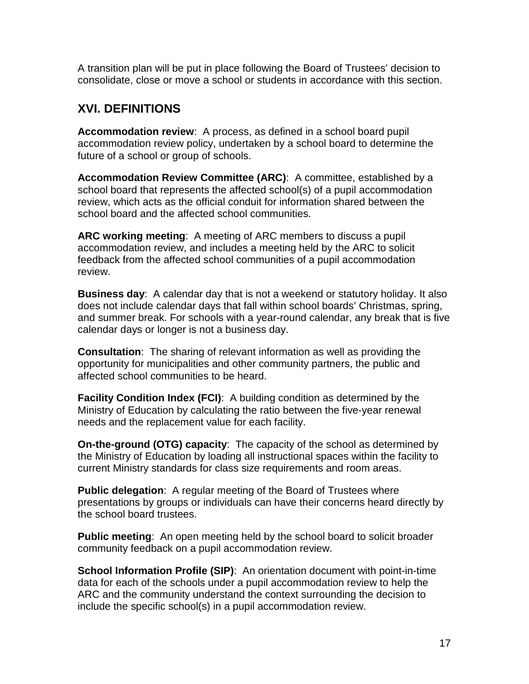A transition plan will be put in place following the Board of Trustees' decision to consolidate, close or move a school or students in accordance with this section.

### **XVI. DEFINITIONS**

**Accommodation review**: A process, as defined in a school board pupil accommodation review policy, undertaken by a school board to determine the future of a school or group of schools.

**Accommodation Review Committee (ARC)**: A committee, established by a school board that represents the affected school(s) of a pupil accommodation review, which acts as the official conduit for information shared between the school board and the affected school communities.

**ARC working meeting**: A meeting of ARC members to discuss a pupil accommodation review, and includes a meeting held by the ARC to solicit feedback from the affected school communities of a pupil accommodation review.

**Business day**: A calendar day that is not a weekend or statutory holiday. It also does not include calendar days that fall within school boards' Christmas, spring, and summer break. For schools with a year-round calendar, any break that is five calendar days or longer is not a business day.

**Consultation**: The sharing of relevant information as well as providing the opportunity for municipalities and other community partners, the public and affected school communities to be heard.

**Facility Condition Index (FCI):** A building condition as determined by the Ministry of Education by calculating the ratio between the five-year renewal needs and the replacement value for each facility.

**On-the-ground (OTG) capacity**: The capacity of the school as determined by the Ministry of Education by loading all instructional spaces within the facility to current Ministry standards for class size requirements and room areas.

**Public delegation**: A regular meeting of the Board of Trustees where presentations by groups or individuals can have their concerns heard directly by the school board trustees.

**Public meeting**: An open meeting held by the school board to solicit broader community feedback on a pupil accommodation review.

**School Information Profile (SIP):** An orientation document with point-in-time data for each of the schools under a pupil accommodation review to help the ARC and the community understand the context surrounding the decision to include the specific school(s) in a pupil accommodation review.